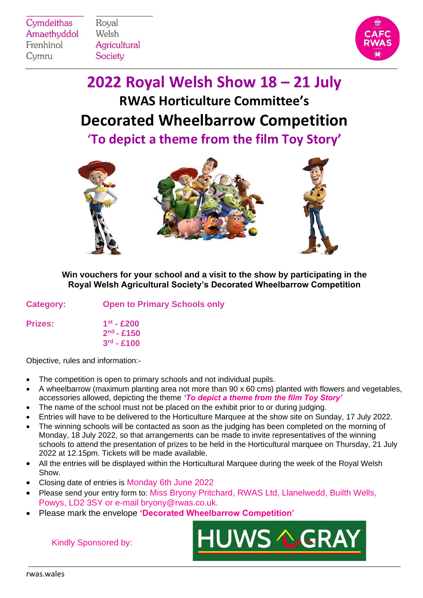Cymdeithas Amaethyddol Frenhinol Cymru

Royal Welsh **Agricultural** Society



**2022 Royal Welsh Show 18 – 21 July RWAS Horticulture Committee's Decorated Wheelbarrow Competition**

**'To depict a theme from the film Toy Story'**



**Win vouchers for your school and a visit to the show by participating in the Royal Welsh Agricultural Society's Decorated Wheelbarrow Competition**

| <b>Category:</b> |  | <b>Open to Primary Schools only</b> |  |
|------------------|--|-------------------------------------|--|
|                  |  |                                     |  |

**Prizes: 1**

**st - £200 2 nd - £150 3 rd - £100** 

Objective, rules and information:-

- The competition is open to primary schools and not individual pupils.
- A wheelbarrow (maximum planting area not more than 90 x 60 cms) planted with flowers and vegetables, accessories allowed, depicting the theme *'To depict a theme from the film Toy Story'*
- The name of the school must not be placed on the exhibit prior to or during judging.
- Entries will have to be delivered to the Horticulture Marquee at the show site on Sunday, 17 July 2022.
- The winning schools will be contacted as soon as the judging has been completed on the morning of Monday, 18 July 2022, so that arrangements can be made to invite representatives of the winning schools to attend the presentation of prizes to be held in the Horticultural marquee on Thursday, 21 July 2022 at 12.15pm. Tickets will be made available.
- All the entries will be displayed within the Horticultural Marquee during the week of the Royal Welsh Show.
- Closing date of entries is Monday 6th June 2022
- Please send your entry form to: Miss Bryony Pritchard, RWAS Ltd, Llanelwedd, Builth Wells, Powys, LD2 3SY or e-mail bryony@rwas.co.uk.
- Please mark the envelope **'Decorated Wheelbarrow Competition'**



Kindly Sponsored by: